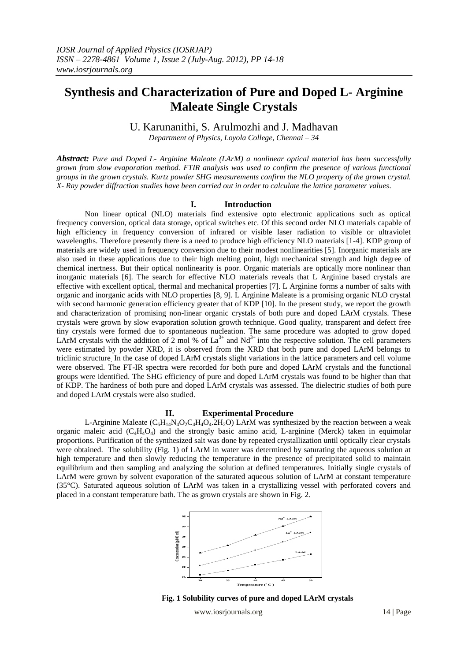# **Synthesis and Characterization of Pure and Doped L- Arginine Maleate Single Crystals**

U. Karunanithi, S. Arulmozhi and J. Madhavan

*Department of Physics, Loyola College, Chennai – 34*

*Abstract: Pure and Doped L- Arginine Maleate (LArM) a nonlinear optical material has been successfully grown from slow evaporation method. FTIR analysis was used to confirm the presence of various functional groups in the grown crystals. Kurtz powder SHG measurements confirm the NLO property of the grown crystal. X- Ray powder diffraction studies have been carried out in order to calculate the lattice parameter values.*

## **I. Introduction**

Non linear optical (NLO) materials find extensive opto electronic applications such as optical frequency conversion, optical data storage, optical switches etc. Of this second order NLO materials capable of high efficiency in frequency conversion of infrared or visible laser radiation to visible or ultraviolet wavelengths. Therefore presently there is a need to produce high efficiency NLO materials [1-4]. KDP group of materials are widely used in frequency conversion due to their modest nonlinearities [5]. Inorganic materials are also used in these applications due to their high melting point, high mechanical strength and high degree of chemical inertness. But their optical nonlinearity is poor. Organic materials are optically more nonlinear than inorganic materials [6]. The search for effective NLO materials reveals that L Arginine based crystals are effective with excellent optical, thermal and mechanical properties [7]. L Arginine forms a number of salts with organic and inorganic acids with NLO properties [8, 9]. L Arginine Maleate is a promising organic NLO crystal with second harmonic generation efficiency greater that of KDP [10]. In the present study, we report the growth and characterization of promising non-linear organic crystals of both pure and doped LArM crystals. These crystals were grown by slow evaporation solution growth technique. Good quality, transparent and defect free tiny crystals were formed due to spontaneous nucleation. The same procedure was adopted to grow doped LArM crystals with the addition of 2 mol % of  $La^{3+}$  and  $Nd^{3+}$  into the respective solution. The cell parameters were estimated by powder XRD, it is observed from the XRD that both pure and doped LArM belongs to triclinic structure. In the case of doped LArM crystals slight variations in the lattice parameters and cell volume were observed. The FT-IR spectra were recorded for both pure and doped LArM crystals and the functional groups were identified. The SHG efficiency of pure and doped LArM crystals was found to be higher than that of KDP. The hardness of both pure and doped LArM crystals was assessed. The dielectric studies of both pure and doped LArM crystals were also studied.

## **II. Experimental Procedure**

L-Arginine Maleate ( $C_6H_{14}N_4O_2C_4H_4O_4.2H_2O$ ) LArM was synthesized by the reaction between a weak organic maleic acid  $(C_4H_4O_4)$  and the strongly basic amino acid, L-arginine (Merck) taken in equimolar proportions. Purification of the synthesized salt was done by repeated crystallization until optically clear crystals were obtained. The solubility (Fig. 1) of LArM in water was determined by saturating the aqueous solution at high temperature and then slowly reducing the temperature in the presence of precipitated solid to maintain equilibrium and then sampling and analyzing the solution at defined temperatures. Initially single crystals of LArM were grown by solvent evaporation of the saturated aqueous solution of LArM at constant temperature (35°C). Saturated aqueous solution of LArM was taken in a crystallizing vessel with perforated covers and placed in a constant temperature bath. The as grown crystals are shown in Fig. 2.



 **Fig. 1 Solubility curves of pure and doped LArM crystals**

www.iosrjournals.org 14 | Page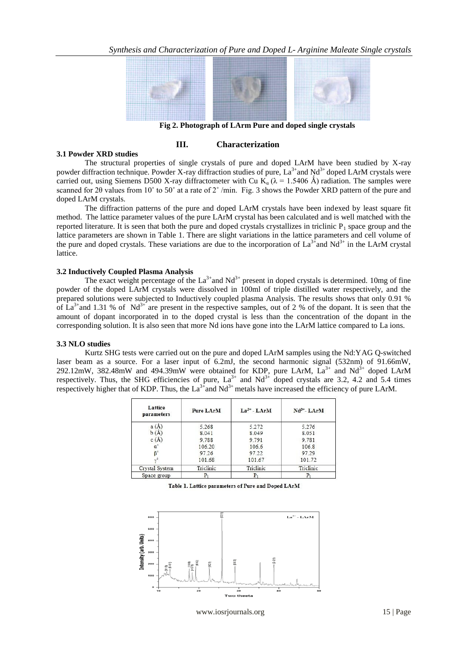

 **Fig 2. Photograph of LArm Pure and doped single crystals**

# **III. Characterization**

#### **3.1 Powder XRD studies**

The structural properties of single crystals of pure and doped LArM have been studied by X-ray powder diffraction technique. Powder X-ray diffraction studies of pure,  $La^{3+}$  and  $Nd^{3+}$  doped LArM crystals were carried out, using Siemens D500 X-ray diffractometer with Cu K<sub>a</sub> ( $\lambda$  = 1.5406 Å) radiation. The samples were scanned for 2θ values from 10° to 50° at a rate of 2° /min. Fig. 3 shows the Powder XRD pattern of the pure and doped LArM crystals.

The diffraction patterns of the pure and doped LArM crystals have been indexed by least square fit method. The lattice parameter values of the pure LArM crystal has been calculated and is well matched with the reported literature. It is seen that both the pure and doped crystallizes in triclinic  $P_1$  space group and the lattice parameters are shown in Table 1. There are slight variations in the lattice parameters and cell volume of the pure and doped crystals. These variations are due to the incorporation of  $La^{3+}$  and  $Nd^{3+}$  in the LArM crystal lattice.

# **3.2 Inductively Coupled Plasma Analysis**

The exact weight percentage of the  $La^{3+}$  and  $Nd^{3+}$  present in doped crystals is determined. 10mg of fine powder of the doped LArM crystals were dissolved in 100ml of triple distilled water respectively, and the prepared solutions were subjected to Inductively coupled plasma Analysis. The results shows that only 0.91 % of  $La^{3+}$  and 1.31 % of Nd<sup>3+</sup> are present in the respective samples, out of 2 % of the dopant. It is seen that the amount of dopant incorporated in to the doped crystal is less than the concentration of the dopant in the corresponding solution. It is also seen that more Nd ions have gone into the LArM lattice compared to La ions.

#### **3.3 NLO studies**

Kurtz SHG tests were carried out on the pure and doped LArM samples using the Nd:YAG Q-switched laser beam as a source. For a laser input of 6.2mJ, the second harmonic signal (532nm) of 91.66mW, 292.12mW, 382.48mW and 494.39mW were obtained for KDP, pure LArM,  $La^{3+}$  and Nd<sup>3+</sup> doped LArM respectively. Thus, the SHG efficiencies of pure,  $La^{3+}$  and  $Nd^{3+}$  doped crystals are 3.2, 4.2 and 5.4 times respectively higher that of KDP. Thus, the  $La^{3+}$  and Nd<sup>3+</sup> metals have increased the efficiency of pure LArM.

| Lattice<br>parameters | <b>Pure LArM</b> | $La^{3+} - LArM$ | $Nd^{3+} - LArM$ |
|-----------------------|------------------|------------------|------------------|
| a(A)                  | 5.268            | 5.272            | 5.276            |
| b(A)                  | 8.041            | 8.049            | 8.051            |
| c(A)                  | 9.788            | 9.791            | 9.781            |
|                       | 106.20           | 106.6            | 106.8            |
| R۰                    | 97.26            | 97.22            | 97.29            |
|                       | 101.68           | 101.67           | 101.72           |
| Crystal System        | Triclinic        | Triclinic        | Triclinic        |
| Space group           |                  |                  | P                |

Table 1. Lattice parameters of Pure and Doped LArM



www.iosrjournals.org 15 | Page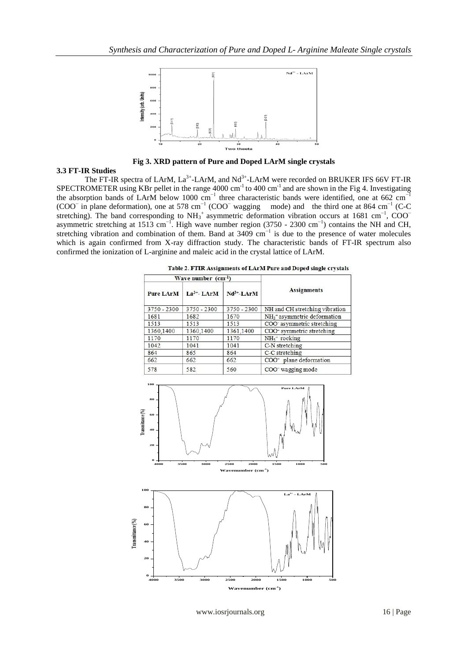

**Fig 3. XRD pattern of Pure and Doped LArM single crystals**

# **3.3 FT-IR Studies**

The FT-IR spectra of LArM,  $La^{3+}$ -LArM, and Nd<sup>3+</sup>-LArM were recorded on BRUKER IFS 66V FT-IR SPECTROMETER using KBr pellet in the range  $4000 \text{ cm}^{-1}$  to  $400 \text{ cm}^{-1}$  and are shown in the Fig 4. Investigating the absorption bands of LArM below 1000 cm<sup>-1</sup> three characteristic bands were identified, one at 662 cm<sup>-1</sup> (COO<sup>−</sup> in plane deformation), one at 578 cm<sup>-1</sup> (COO<sup>−</sup> wagging mode) and the third one at 864 cm<sup>-1</sup> (C-C stretching). The band corresponding to  $NH_3^+$  asymmetric deformation vibration occurs at 1681 cm<sup>-1</sup>, COO<sup>−</sup> asymmetric stretching at 1513 cm−1. High wave number region (3750 - 2300 cm−1) contains the NH and CH, stretching vibration and combination of them. Band at 3409 cm<sup>-1</sup> is due to the presence of water molecules which is again confirmed from X-ray diffraction study. The characteristic bands of FT-IR spectrum also confirmed the ionization of L-arginine and maleic acid in the crystal lattice of LArM.

| Wave number $(cm^{-1})$ |                  |                 |                                          |  |
|-------------------------|------------------|-----------------|------------------------------------------|--|
| <b>Pure LArM</b>        | $La^{3+}$ - LArM | $Nd^{3+}$ -LArM | <b>Assignments</b>                       |  |
| 3750 - 2300             | 3750 - 2300      | 3750 - 2300     | NH and CH stretching vibration           |  |
| 1681                    | 1682             | 1670            | NH <sub>3</sub> + asymmetric deformation |  |
| 1513                    | 1513             | 1513            | COO asymmetric stretching                |  |
| 1360,1400               | 1360,1400        | 1361,1400       | COO-symmetric stretching                 |  |
| 1170                    | 1170             | 1170            | $NH3$ <sup>+</sup> rocking               |  |
| 1042                    | 1041             | 1041            | C-N stretching                           |  |
| 864                     | 865              | 864             | C-C stretching                           |  |
| 662                     | 662              | 662             | COO <sup>-</sup> plane deformation       |  |
| 578                     | 582              | 560             | COO <sup>-</sup> wagging mode            |  |

Table 2. FTIR Assignments of LArM Pure and Doned single crystals





www.iosrjournals.org 16 | Page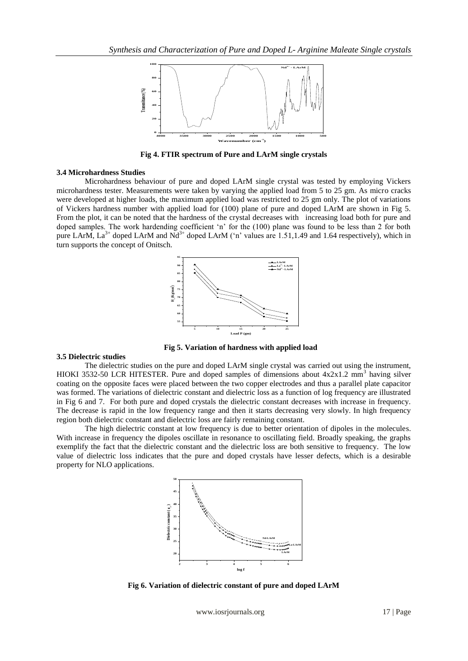

**Fig 4. FTIR spectrum of Pure and LArM single crystals**

#### **3.4 Microhardness Studies**

Microhardness behaviour of pure and doped LArM single crystal was tested by employing Vickers microhardness tester. Measurements were taken by varying the applied load from 5 to 25 gm. As micro cracks were developed at higher loads, the maximum applied load was restricted to 25 gm only. The plot of variations of Vickers hardness number with applied load for (100) plane of pure and doped LArM are shown in Fig 5. From the plot, it can be noted that the hardness of the crystal decreases with increasing load both for pure and doped samples. The work hardending coefficient 'n' for the (100) plane was found to be less than 2 for both pure LArM,  $La^{3+}$  doped LArM and  $Nd^{3+}$  doped LArM ('n' values are 1.51,1.49 and 1.64 respectively), which in turn supports the concept of Onitsch.



#### **3.5 Dielectric studies**

The dielectric studies on the pure and doped LArM single crystal was carried out using the instrument, HIOKI 3532-50 LCR HITESTER. Pure and doped samples of dimensions about  $4x2x1.2$  mm<sup>3</sup> having silver coating on the opposite faces were placed between the two copper electrodes and thus a parallel plate capacitor was formed. The variations of dielectric constant and dielectric loss as a function of log frequency are illustrated in Fig 6 and 7. For both pure and doped crystals the dielectric constant decreases with increase in frequency. The decrease is rapid in the low frequency range and then it starts decreasing very slowly. In high frequency region both dielectric constant and dielectric loss are fairly remaining constant.

 **Fig 5. Variation of hardness with applied load**

The high dielectric constant at low frequency is due to better orientation of dipoles in the molecules. With increase in frequency the dipoles oscillate in resonance to oscillating field. Broadly speaking, the graphs exemplify the fact that the dielectric constant and the dielectric loss are both sensitive to frequency. The low value of dielectric loss indicates that the pure and doped crystals have lesser defects, which is a desirable property for NLO applications.



**Fig 6. Variation of dielectric constant of pure and doped LArM**

www.iosrjournals.org 17 | Page